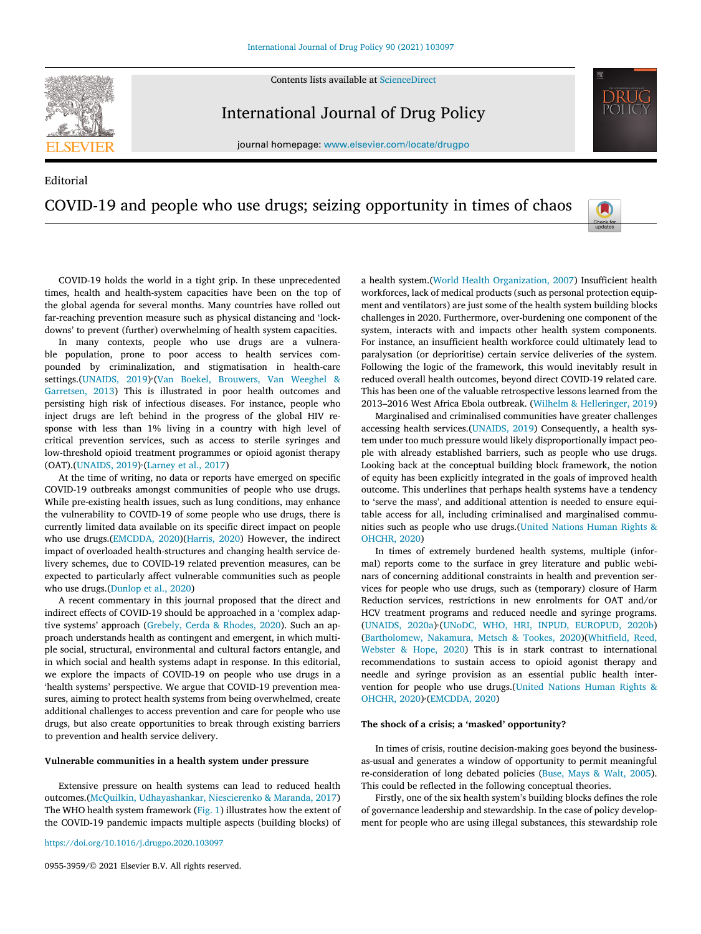Contents lists available at [ScienceDirect](http://www.ScienceDirect.com)



International Journal of Drug Policy

journal homepage: [www.elsevier.com/locate/drugpo](http://www.elsevier.com/locate/drugpo)

# Editorial COVID-19 and people who use drugs; seizing opportunity in times of chaos



COVID-19 holds the world in a tight grip. In these unprecedented times, health and health-system capacities have been on the top of the global agenda for several months. Many countries have rolled out far-reaching prevention measure such as physical distancing and 'lockdowns' to prevent (further) overwhelming of health system capacities.

In many contexts, people who use drugs are a vulnerable population, prone to poor access to health services compounded by criminalization, and stigmatisation in health-care [settings.\(UNAIDS,](#page-3-0) 2019) (Van Boekel, Brouwers, Van Weeghel & Garretsen, 2013) This is illustrated in poor health outcomes and persisting high risk of infectious diseases. For instance, people who inject drugs are left behind in the progress of the global HIV response with less than 1% living in a country with high level of critical prevention services, such as access to sterile syringes and low-threshold opioid treatment programmes or opioid agonist therapy (OAT).[\(UNAIDS,](#page-3-0) 2019)<sup>,</sup>[\(Larney](#page-3-0) et al., 2017)

At the time of writing, no data or reports have emerged on specific COVID-19 outbreaks amongst communities of people who use drugs. While pre-existing health issues, such as lung conditions, may enhance the vulnerability to COVID-19 of some people who use drugs, there is currently limited data available on its specific direct impact on people who use drugs.[\(EMCDDA,](#page-2-0) 2020)[\(Harris,](#page-2-0) 2020) However, the indirect impact of overloaded health-structures and changing health service delivery schemes, due to COVID-19 related prevention measures, can be expected to particularly affect vulnerable communities such as people who use drugs.[\(Dunlop](#page-2-0) et al., 2020)

A recent commentary in this journal proposed that the direct and indirect effects of COVID-19 should be approached in a 'complex adaptive systems' approach [\(Grebely,](#page-2-0) Cerda & Rhodes, 2020). Such an approach understands health as contingent and emergent, in which multiple social, structural, environmental and cultural factors entangle, and in which social and health systems adapt in response. In this editorial, we explore the impacts of COVID-19 on people who use drugs in a 'health systems' perspective. We argue that COVID-19 prevention measures, aiming to protect health systems from being overwhelmed, create additional challenges to access prevention and care for people who use drugs, but also create opportunities to break through existing barriers to prevention and health service delivery.

# **Vulnerable communities in a health system under pressure**

Extensive pressure on health systems can lead to reduced health outcomes.(McQuilkin, [Udhayashankar,](#page-3-0) Niescierenko & Maranda, 2017) The WHO health system framework [\(Fig.](#page-1-0) 1) illustrates how the extent of the COVID-19 pandemic impacts multiple aspects (building blocks) of

<https://doi.org/10.1016/j.drugpo.2020.103097>

0955-3959/© 2021 Elsevier B.V. All rights reserved.

a health system.(World Health [Organization,](#page-3-0) 2007) Insufficient health workforces, lack of medical products (such as personal protection equipment and ventilators) are just some of the health system building blocks challenges in 2020. Furthermore, over-burdening one component of the system, interacts with and impacts other health system components. For instance, an insufficient health workforce could ultimately lead to paralysation (or deprioritise) certain service deliveries of the system. Following the logic of the framework, this would inevitably result in reduced overall health outcomes, beyond direct COVID-19 related care. This has been one of the valuable retrospective lessons learned from the 2013–2016 West Africa Ebola outbreak. (Wilhelm & [Helleringer,](#page-3-0) 2019)

Marginalised and criminalised communities have greater challenges accessing health services.[\(UNAIDS,](#page-3-0) 2019) Consequently, a health system under too much pressure would likely disproportionally impact people with already established barriers, such as people who use drugs. Looking back at the conceptual building block framework, the notion of equity has been explicitly integrated in the goals of improved health outcome. This underlines that perhaps health systems have a tendency to 'serve the mass', and additional attention is needed to ensure equitable access for all, including criminalised and marginalised communities such as people who use [drugs.\(United](#page-3-0) Nations Human Rights & OHCHR, 2020)

In times of extremely burdened health systems, multiple (informal) reports come to the surface in grey literature and public webinars of concerning additional constraints in health and prevention services for people who use drugs, such as (temporary) closure of Harm Reduction services, restrictions in new enrolments for OAT and/or HCV treatment programs and reduced needle and syringe programs. [\(UNAIDS,](#page-3-0) 2020a) (UNoDC, WHO, HRI, INPUD, [EUROPUD,](#page-3-0) 2020b) [\(Bartholomew,](#page-2-0) Nakamura, Metsch & Tookes, [2020\)\(Whitfield,](#page-3-0) Reed, Webster & Hope, 2020) This is in stark contrast to international recommendations to sustain access to opioid agonist therapy and needle and syringe provision as an essential public health intervention for people who use [drugs.\(United](#page-3-0) Nations Human Rights & OHCHR, 2020)<sup>,</sup> [\(EMCDDA,](#page-2-0) 2020)

#### **The shock of a crisis; a 'masked' opportunity?**

In times of crisis, routine decision-making goes beyond the businessas-usual and generates a window of opportunity to permit meaningful re-consideration of long debated policies [\(Buse,](#page-2-0) Mays & Walt, 2005). This could be reflected in the following conceptual theories.

Firstly, one of the six health system's building blocks defines the role of governance leadership and stewardship. In the case of policy development for people who are using illegal substances, this stewardship role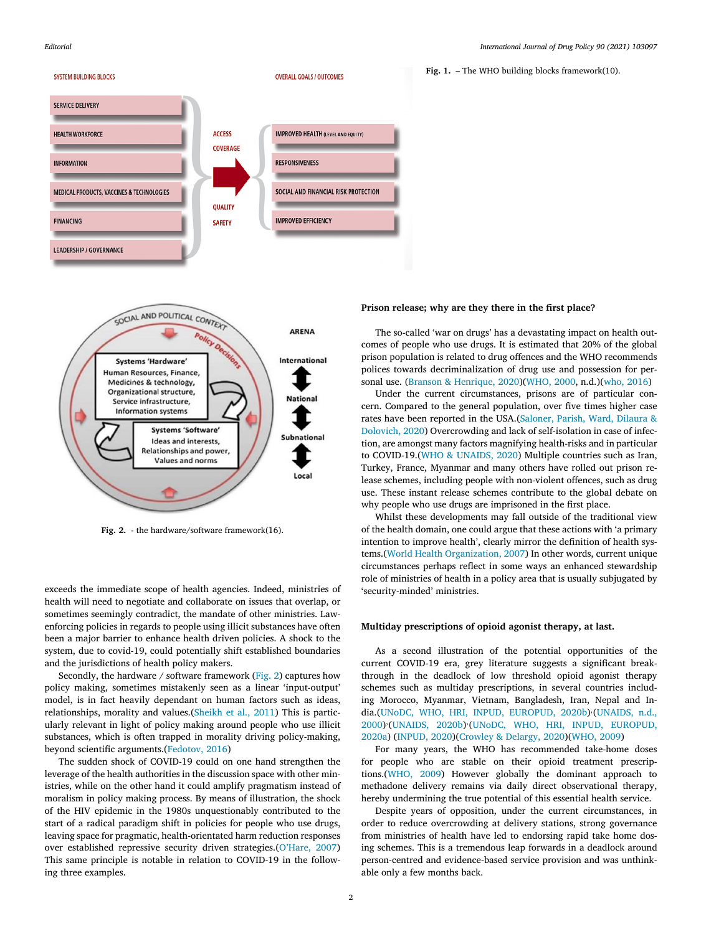<span id="page-1-0"></span>





**Fig. 2.** - the hardware/software framework(16).

exceeds the immediate scope of health agencies. Indeed, ministries of health will need to negotiate and collaborate on issues that overlap, or sometimes seemingly contradict, the mandate of other ministries. Lawenforcing policies in regards to people using illicit substances have often been a major barrier to enhance health driven policies. A shock to the system, due to covid-19, could potentially shift established boundaries and the jurisdictions of health policy makers.

Secondly, the hardware / software framework (Fig. 2) captures how policy making, sometimes mistakenly seen as a linear 'input-output' model, is in fact heavily dependant on human factors such as ideas, relationships, morality and values.[\(Sheikh](#page-3-0) et al., 2011) This is particularly relevant in light of policy making around people who use illicit substances, which is often trapped in morality driving policy-making, beyond scientific arguments.[\(Fedotov,](#page-2-0) 2016)

The sudden shock of COVID-19 could on one hand strengthen the leverage of the health authorities in the discussion space with other ministries, while on the other hand it could amplify pragmatism instead of moralism in policy making process. By means of illustration, the shock of the HIV epidemic in the 1980s unquestionably contributed to the start of a radical paradigm shift in policies for people who use drugs, leaving space for pragmatic, health-orientated harm reduction responses over established repressive security driven strategies.[\(O'Hare,](#page-3-0) 2007) This same principle is notable in relation to COVID-19 in the following three examples.

**Fig. 1.** – The WHO building blocks framework(10).

#### **Prison release; why are they there in the first place?**

The so-called 'war on drugs' has a devastating impact on health outcomes of people who use drugs. It is estimated that 20% of the global prison population is related to drug offences and the WHO recommends polices towards decriminalization of drug use and possession for personal use. (Branson & [Henrique,](#page-2-0) 2020)[\(WHO,](#page-3-0) 2000, n.d.)(who, [2016\)](#page-3-0)

Under the current circumstances, prisons are of particular concern. Compared to the general population, over five times higher case rates have been reported in the USA.(Saloner, Parish, Ward, Dilaura & Dolovich, 2020) [Overcrowding](#page-3-0) and lack of self-isolation in case of infection, are amongst many factors magnifying health-risks and in particular to COVID-19.(WHO & [UNAIDS,](#page-3-0) 2020) Multiple countries such as Iran, Turkey, France, Myanmar and many others have rolled out prison release schemes, including people with non-violent offences, such as drug use. These instant release schemes contribute to the global debate on why people who use drugs are imprisoned in the first place.

Whilst these developments may fall outside of the traditional view of the health domain, one could argue that these actions with 'a primary intention to improve health', clearly mirror the definition of health systems.(World Health [Organization,](#page-3-0) 2007) In other words, current unique circumstances perhaps reflect in some ways an enhanced stewardship role of ministries of health in a policy area that is usually subjugated by 'security-minded' ministries.

## **Multiday prescriptions of opioid agonist therapy, at last.**

As a second illustration of the potential opportunities of the current COVID-19 era, grey literature suggests a significant breakthrough in the deadlock of low threshold opioid agonist therapy schemes such as multiday prescriptions, in several countries including Morocco, Myanmar, Vietnam, Bangladesh, Iran, Nepal and In[dia.\(UNoDC,](#page-3-0) WHO, HRI, INPUD, [EUROPUD,](#page-3-0) 2020b) (UNAIDS, n.d., 2000) [\(UNAIDS,](#page-3-0) 2020b) (UNoDC, WHO, HRI, INPUD, EUROPUD, 2020a) [\(INPUD,](#page-3-0) [2020\)\(Crowley](#page-3-0) & Delargy, 2020)[\(WHO,](#page-3-0) 2009)

For many years, the WHO has recommended take-home doses for people who are stable on their opioid treatment prescriptions.[\(WHO,](#page-3-0) 2009) However globally the dominant approach to methadone delivery remains via daily direct observational therapy, hereby undermining the true potential of this essential health service.

Despite years of opposition, under the current circumstances, in order to reduce overcrowding at delivery stations, strong governance from ministries of health have led to endorsing rapid take home dosing schemes. This is a tremendous leap forwards in a deadlock around person-centred and evidence-based service provision and was unthinkable only a few months back.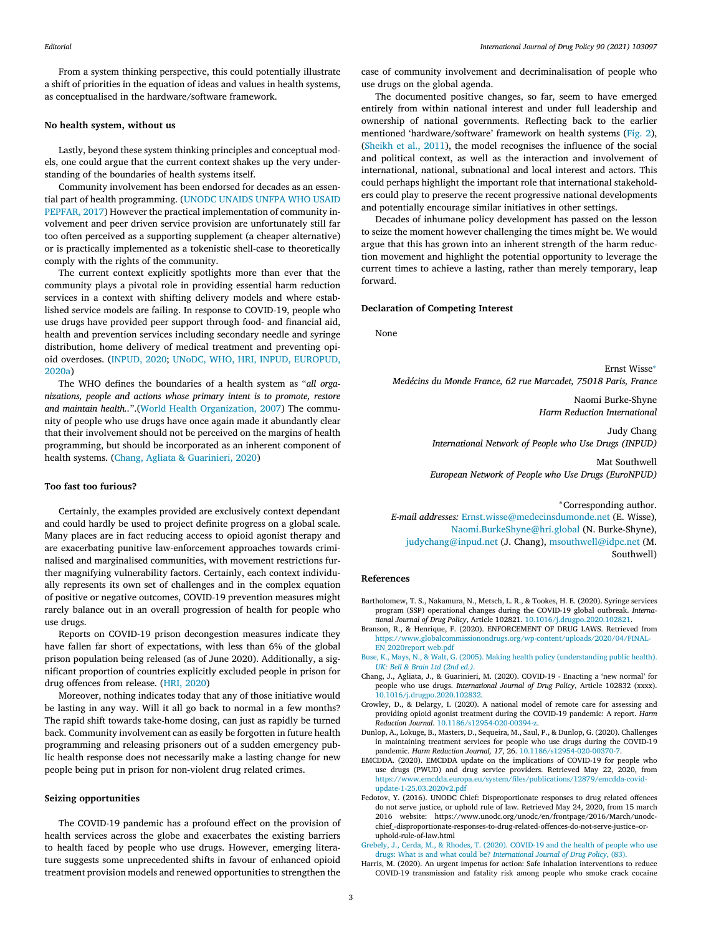<span id="page-2-0"></span>From a system thinking perspective, this could potentially illustrate a shift of priorities in the equation of ideas and values in health systems, as conceptualised in the hardware/software framework.

## **No health system, without us**

Lastly, beyond these system thinking principles and conceptual models, one could argue that the current context shakes up the very understanding of the boundaries of health systems itself.

Community involvement has been endorsed for decades as an essential part of health programming. (UNODC UNAIDS UNFPA WHO USAID PEPFAR, 2017) However the practical [implementation](#page-3-0) of community involvement and peer driven service provision are unfortunately still far too often perceived as a supporting supplement (a cheaper alternative) or is practically implemented as a tokenistic shell-case to theoretically comply with the rights of the community.

The current context explicitly spotlights more than ever that the community plays a pivotal role in providing essential harm reduction services in a context with shifting delivery models and where established service models are failing. In response to COVID-19, people who use drugs have provided peer support through food- and financial aid, health and prevention services including secondary needle and syringe distribution, home delivery of medical treatment and preventing opioid overdoses. [\(INPUD,](#page-3-0) 2020; UNoDC, WHO, HRI, INPUD, [EUROPUD,](#page-3-0) 2020a)

The WHO defines the boundaries of a health system as "*all organizations, people and actions whose primary intent is to promote, restore and maintain health..*".(World Health [Organization,](#page-3-0) 2007) The community of people who use drugs have once again made it abundantly clear that their involvement should not be perceived on the margins of health programming, but should be incorporated as an inherent component of health systems. (Chang, Agliata & Guarinieri, 2020)

## **Too fast too furious?**

Certainly, the examples provided are exclusively context dependant and could hardly be used to project definite progress on a global scale. Many places are in fact reducing access to opioid agonist therapy and are exacerbating punitive law-enforcement approaches towards criminalised and marginalised communities, with movement restrictions further magnifying vulnerability factors. Certainly, each context individually represents its own set of challenges and in the complex equation of positive or negative outcomes, COVID-19 prevention measures might rarely balance out in an overall progression of health for people who use drugs.

Reports on COVID-19 prison decongestion measures indicate they have fallen far short of expectations, with less than 6% of the global prison population being released (as of June 2020). Additionally, a significant proportion of countries explicitly excluded people in prison for drug offences from release. (HRI, [2020\)](#page-3-0)

Moreover, nothing indicates today that any of those initiative would be lasting in any way. Will it all go back to normal in a few months? The rapid shift towards take-home dosing, can just as rapidly be turned back. Community involvement can as easily be forgotten in future health programming and releasing prisoners out of a sudden emergency public health response does not necessarily make a lasting change for new people being put in prison for non-violent drug related crimes.

#### **Seizing opportunities**

The COVID-19 pandemic has a profound effect on the provision of health services across the globe and exacerbates the existing barriers to health faced by people who use drugs. However, emerging literature suggests some unprecedented shifts in favour of enhanced opioid treatment provision models and renewed opportunities to strengthen the

case of community involvement and decriminalisation of people who use drugs on the global agenda.

The documented positive changes, so far, seem to have emerged entirely from within national interest and under full leadership and ownership of national governments. Reflecting back to the earlier mentioned 'hardware/software' framework on health systems [\(Fig.](#page-1-0) 2), [\(Sheikh](#page-3-0) et al., 2011), the model recognises the influence of the social and political context, as well as the interaction and involvement of international, national, subnational and local interest and actors. This could perhaps highlight the important role that international stakeholders could play to preserve the recent progressive national developments and potentially encourage similar initiatives in other settings.

Decades of inhumane policy development has passed on the lesson to seize the moment however challenging the times might be. We would argue that this has grown into an inherent strength of the harm reduction movement and highlight the potential opportunity to leverage the current times to achieve a lasting, rather than merely temporary, leap forward.

## **Declaration of Competing Interest**

None

Ernst Wisse<sup>∗</sup> *Medécins du Monde France, 62 rue Marcadet, 75018 Paris, France*

> Naomi Burke-Shyne *Harm Reduction International*

Judy Chang *International Network of People who Use Drugs (INPUD)*

Mat Southwell *European Network of People who Use Drugs (EuroNPUD)*

<sup>∗</sup>Corresponding author. *E-mail addresses:* [Ernst.wisse@medecinsdumonde.net](mailto:Ernst.wisse@medecinsdumonde.net) (E. Wisse), [Naomi.BurkeShyne@hri.global](mailto:Naomi.BurkeShyne@hri.global) (N. Burke-Shyne), [judychang@inpud.net](mailto:judychang@inpud.net) (J. Chang), [msouthwell@idpc.net](mailto:msouthwell@idpc.net) (M. Southwell)

## **References**

- Bartholomew, T. S., Nakamura, N., Metsch, L. R., & Tookes, H. E. (2020). Syringe services program (SSP) operational changes during the COVID-19 global outbreak. *International Journal of Drug Policy*, Article 102821. [10.1016/j.drugpo.2020.102821.](https://doi.org/10.1016/j.drugpo.2020.102821)
- Branson, R., & Henrique, F. (2020). ENFORCEMENT OF DRUG LAWS. Retrieved from [https://www.globalcommissionondrugs.org/wp-content/uploads/2020/04/FINAL-](https://www.globalcommissionondrugs.org/wp-content/uploads/2020/04/FINAL-EN_2020report_web.pdf)EN\_2020report\_web.pdf
- [Buse,](http://refhub.elsevier.com/S0955-3959(20)30435-7/sbref0003) K., [Mays,](http://refhub.elsevier.com/S0955-3959(20)30435-7/sbref0003) N., [&](http://refhub.elsevier.com/S0955-3959(20)30435-7/sbref0003) [Walt,](http://refhub.elsevier.com/S0955-3959(20)30435-7/sbref0003) G. (2005). Making health policy [\(understanding](http://refhub.elsevier.com/S0955-3959(20)30435-7/sbref0003) public health). *UK: Bell & Brain Ltd (2nd ed.)*.
- Chang, J., Agliata, J., & Guarinieri, M. (2020). COVID-19 Enacting a 'new normal' for people who use drugs. *International Journal of Drug Policy*, Article 102832 (xxxx). [10.1016/j.drugpo.2020.102832.](https://doi.org/10.1016/j.drugpo.2020.102832)
- Crowley, D., & Delargy, I. (2020). A national model of remote care for assessing and providing opioid agonist treatment during the COVID-19 pandemic: A report. *Harm Reduction Journal*. [10.1186/s12954-020-00394-z.](https://doi.org/10.1186/s12954-020-00394-z)
- Dunlop, A., Lokuge, B., Masters, D., Sequeira, M., Saul, P., & Dunlop, G. (2020). Challenges in maintaining treatment services for people who use drugs during the COVID-19 pandemic. *Harm Reduction Journal, 17*, 26. [10.1186/s12954-020-00370-7.](https://doi.org/10.1186/s12954-020-00370-7)
- EMCDDA. (2020). EMCDDA update on the implications of COVID-19 for people who use drugs (PWUD) and drug service providers. Retrieved May 22, 2020, from [https://www.emcdda.europa.eu/system/files/publications/12879/emcdda-covid](https://www.emcdda.europa.eu/system/files/publications/12879/emcdda-covid-update-1-25.03.2020v2.pdf)update-1-25.03.2020v2.pdf
- Fedotov, Y. (2016). UNODC Chief: Disproportionate responses to drug related offences do not serve justice, or uphold rule of law. Retrieved May 24, 2020, from 15 march 2016 website: https://www.unodc.org/unodc/en/frontpage/2016/March/unodcchief\_-disproportionate-responses-to-drug-related-offences-do-not-serve-justice–oruphold-rule-of-law.html
- [Grebely,](http://refhub.elsevier.com/S0955-3959(20)30435-7/sbref0009) J., [Cerda,](http://refhub.elsevier.com/S0955-3959(20)30435-7/sbref0009) M., [&](http://refhub.elsevier.com/S0955-3959(20)30435-7/sbref0009) [Rhodes,](http://refhub.elsevier.com/S0955-3959(20)30435-7/sbref0009) T. (2020). COVID-19 and the health of people who use drugs: What is and what could be? *[International](http://refhub.elsevier.com/S0955-3959(20)30435-7/sbref0009) Journal of Drug Policy*, (83).
- Harris, M. (2020). An urgent impetus for action: Safe inhalation interventions to reduce COVID-19 transmission and fatality risk among people who smoke crack cocaine